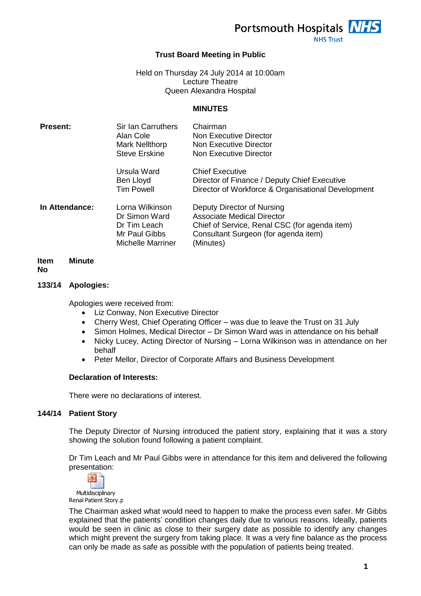Portsmouth Hospitals NHS

**NHS Trust** 

# **Trust Board Meeting in Public**

Held on Thursday 24 July 2014 at 10:00am Lecture Theatre Queen Alexandra Hospital

### **MINUTES**

| <b>Present:</b> | <b>Sir Ian Carruthers</b><br>Alan Cole<br><b>Mark Nellthorp</b><br><b>Steve Erskine</b>       | Chairman<br>Non Executive Director<br>Non Executive Director<br>Non Executive Director                                                                         |
|-----------------|-----------------------------------------------------------------------------------------------|----------------------------------------------------------------------------------------------------------------------------------------------------------------|
|                 | Ursula Ward<br>Ben Lloyd<br><b>Tim Powell</b>                                                 | <b>Chief Executive</b><br>Director of Finance / Deputy Chief Executive<br>Director of Workforce & Organisational Development                                   |
| In Attendance:  | Lorna Wilkinson<br>Dr Simon Ward<br>Dr Tim Leach<br>Mr Paul Gibbs<br><b>Michelle Marriner</b> | Deputy Director of Nursing<br>Associate Medical Director<br>Chief of Service, Renal CSC (for agenda item)<br>Consultant Surgeon (for agenda item)<br>(Minutes) |

#### **Item Minute**

**No**

### **133/14 Apologies:**

Apologies were received from:

- Liz Conway, Non Executive Director
- Cherry West, Chief Operating Officer was due to leave the Trust on 31 July
- Simon Holmes, Medical Director Dr Simon Ward was in attendance on his behalf
- Nicky Lucey, Acting Director of Nursing Lorna Wilkinson was in attendance on her behalf
- Peter Mellor, Director of Corporate Affairs and Business Development

### **Declaration of Interests:**

There were no declarations of interest.

# **144/14 Patient Story**

The Deputy Director of Nursing introduced the patient story, explaining that it was a story showing the solution found following a patient complaint.

Dr Tim Leach and Mr Paul Gibbs were in attendance for this item and delivered the following presentation:



Renal Patient Story.p

The Chairman asked what would need to happen to make the process even safer. Mr Gibbs explained that the patients' condition changes daily due to various reasons. Ideally, patients would be seen in clinic as close to their surgery date as possible to identify any changes which might prevent the surgery from taking place. It was a very fine balance as the process can only be made as safe as possible with the population of patients being treated.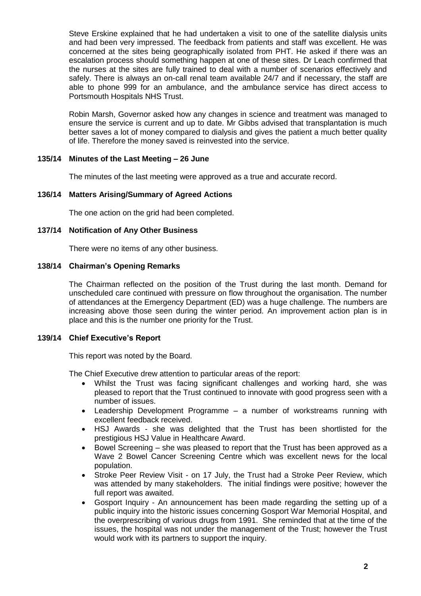Steve Erskine explained that he had undertaken a visit to one of the satellite dialysis units and had been very impressed. The feedback from patients and staff was excellent. He was concerned at the sites being geographically isolated from PHT. He asked if there was an escalation process should something happen at one of these sites. Dr Leach confirmed that the nurses at the sites are fully trained to deal with a number of scenarios effectively and safely. There is always an on-call renal team available 24/7 and if necessary, the staff are able to phone 999 for an ambulance, and the ambulance service has direct access to Portsmouth Hospitals NHS Trust.

Robin Marsh, Governor asked how any changes in science and treatment was managed to ensure the service is current and up to date. Mr Gibbs advised that transplantation is much better saves a lot of money compared to dialysis and gives the patient a much better quality of life. Therefore the money saved is reinvested into the service.

# **135/14 Minutes of the Last Meeting – 26 June**

The minutes of the last meeting were approved as a true and accurate record.

### **136/14 Matters Arising/Summary of Agreed Actions**

The one action on the grid had been completed.

### **137/14 Notification of Any Other Business**

There were no items of any other business.

### **138/14 Chairman's Opening Remarks**

The Chairman reflected on the position of the Trust during the last month. Demand for unscheduled care continued with pressure on flow throughout the organisation. The number of attendances at the Emergency Department (ED) was a huge challenge. The numbers are increasing above those seen during the winter period. An improvement action plan is in place and this is the number one priority for the Trust.

### **139/14 Chief Executive's Report**

This report was noted by the Board.

The Chief Executive drew attention to particular areas of the report:

- Whilst the Trust was facing significant challenges and working hard, she was pleased to report that the Trust continued to innovate with good progress seen with a number of issues.
- Leadership Development Programme a number of workstreams running with excellent feedback received.
- HSJ Awards she was delighted that the Trust has been shortlisted for the prestigious HSJ Value in Healthcare Award.
- Bowel Screening she was pleased to report that the Trust has been approved as a Wave 2 Bowel Cancer Screening Centre which was excellent news for the local population.
- Stroke Peer Review Visit on 17 July, the Trust had a Stroke Peer Review, which was attended by many stakeholders. The initial findings were positive; however the full report was awaited.
- Gosport Inquiry An announcement has been made regarding the setting up of a public inquiry into the historic issues concerning Gosport War Memorial Hospital, and the overprescribing of various drugs from 1991. She reminded that at the time of the issues, the hospital was not under the management of the Trust; however the Trust would work with its partners to support the inquiry.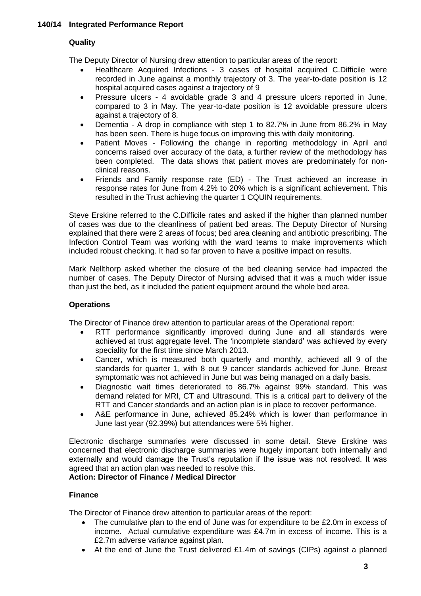# **Quality**

The Deputy Director of Nursing drew attention to particular areas of the report:

- Healthcare Acquired Infections 3 cases of hospital acquired C.Difficile were recorded in June against a monthly trajectory of 3. The year-to-date position is 12 hospital acquired cases against a trajectory of 9
- Pressure ulcers 4 avoidable grade 3 and 4 pressure ulcers reported in June, compared to 3 in May. The year-to-date position is 12 avoidable pressure ulcers against a trajectory of 8.
- Dementia A drop in compliance with step 1 to 82.7% in June from 86.2% in May has been seen. There is huge focus on improving this with daily monitoring.
- Patient Moves Following the change in reporting methodology in April and concerns raised over accuracy of the data, a further review of the methodology has been completed. The data shows that patient moves are predominately for nonclinical reasons.
- Friends and Family response rate (ED) The Trust achieved an increase in response rates for June from 4.2% to 20% which is a significant achievement. This resulted in the Trust achieving the quarter 1 CQUIN requirements.

Steve Erskine referred to the C.Difficile rates and asked if the higher than planned number of cases was due to the cleanliness of patient bed areas. The Deputy Director of Nursing explained that there were 2 areas of focus; bed area cleaning and antibiotic prescribing. The Infection Control Team was working with the ward teams to make improvements which included robust checking. It had so far proven to have a positive impact on results.

Mark Nellthorp asked whether the closure of the bed cleaning service had impacted the number of cases. The Deputy Director of Nursing advised that it was a much wider issue than just the bed, as it included the patient equipment around the whole bed area.

# **Operations**

The Director of Finance drew attention to particular areas of the Operational report:

- RTT performance significantly improved during June and all standards were achieved at trust aggregate level. The 'incomplete standard' was achieved by every speciality for the first time since March 2013.
- Cancer, which is measured both quarterly and monthly, achieved all 9 of the standards for quarter 1, with 8 out 9 cancer standards achieved for June. Breast symptomatic was not achieved in June but was being managed on a daily basis.
- Diagnostic wait times deteriorated to 86.7% against 99% standard. This was demand related for MRI, CT and Ultrasound. This is a critical part to delivery of the RTT and Cancer standards and an action plan is in place to recover performance.
- A&E performance in June, achieved 85.24% which is lower than performance in June last year (92.39%) but attendances were 5% higher.

Electronic discharge summaries were discussed in some detail. Steve Erskine was concerned that electronic discharge summaries were hugely important both internally and externally and would damage the Trust's reputation if the issue was not resolved. It was agreed that an action plan was needed to resolve this.

# **Action: Director of Finance / Medical Director**

# **Finance**

The Director of Finance drew attention to particular areas of the report:

- The cumulative plan to the end of June was for expenditure to be £2.0m in excess of income. Actual cumulative expenditure was £4.7m in excess of income. This is a £2.7m adverse variance against plan.
- At the end of June the Trust delivered £1.4m of savings (CIPs) against a planned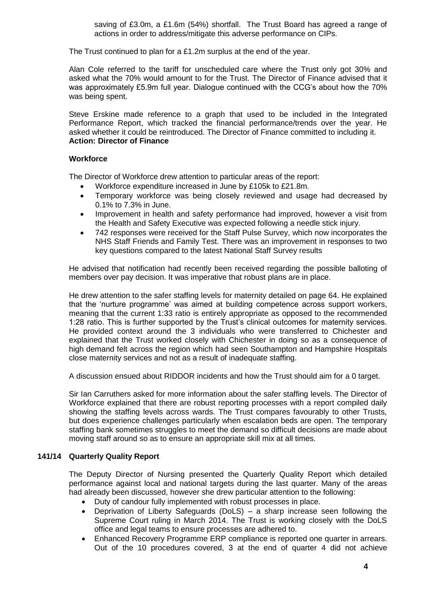saving of £3.0m, a £1.6m (54%) shortfall. The Trust Board has agreed a range of actions in order to address/mitigate this adverse performance on CIPs.

The Trust continued to plan for a £1.2m surplus at the end of the year.

Alan Cole referred to the tariff for unscheduled care where the Trust only got 30% and asked what the 70% would amount to for the Trust. The Director of Finance advised that it was approximately £5.9m full year. Dialogue continued with the CCG's about how the 70% was being spent.

Steve Erskine made reference to a graph that used to be included in the Integrated Performance Report, which tracked the financial performance/trends over the year. He asked whether it could be reintroduced. The Director of Finance committed to including it. **Action: Director of Finance**

### **Workforce**

The Director of Workforce drew attention to particular areas of the report:

- Workforce expenditure increased in June by £105k to £21.8m.
- Temporary workforce was being closely reviewed and usage had decreased by 0.1% to 7.3% in June.
- Improvement in health and safety performance had improved, however a visit from the Health and Safety Executive was expected following a needle stick injury.
- 742 responses were received for the Staff Pulse Survey, which now incorporates the NHS Staff Friends and Family Test. There was an improvement in responses to two key questions compared to the latest National Staff Survey results

He advised that notification had recently been received regarding the possible balloting of members over pay decision. It was imperative that robust plans are in place.

He drew attention to the safer staffing levels for maternity detailed on page 64. He explained that the 'nurture programme' was aimed at building competence across support workers, meaning that the current 1:33 ratio is entirely appropriate as opposed to the recommended 1:28 ratio. This is further supported by the Trust's clinical outcomes for maternity services. He provided context around the 3 individuals who were transferred to Chichester and explained that the Trust worked closely with Chichester in doing so as a consequence of high demand felt across the region which had seen Southampton and Hampshire Hospitals close maternity services and not as a result of inadequate staffing.

A discussion ensued about RIDDOR incidents and how the Trust should aim for a 0 target.

Sir Ian Carruthers asked for more information about the safer staffing levels. The Director of Workforce explained that there are robust reporting processes with a report compiled daily showing the staffing levels across wards. The Trust compares favourably to other Trusts, but does experience challenges particularly when escalation beds are open. The temporary staffing bank sometimes struggles to meet the demand so difficult decisions are made about moving staff around so as to ensure an appropriate skill mix at all times.

# **141/14 Quarterly Quality Report**

The Deputy Director of Nursing presented the Quarterly Quality Report which detailed performance against local and national targets during the last quarter. Many of the areas had already been discussed, however she drew particular attention to the following:

- Duty of candour fully implemented with robust processes in place.
- Deprivation of Liberty Safeguards (DoLS) a sharp increase seen following the Supreme Court ruling in March 2014. The Trust is working closely with the DoLS office and legal teams to ensure processes are adhered to.
- Enhanced Recovery Programme ERP compliance is reported one quarter in arrears. Out of the 10 procedures covered, 3 at the end of quarter 4 did not achieve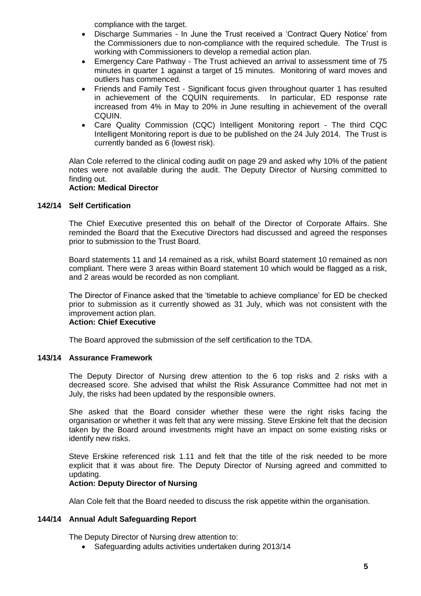compliance with the target.

- Discharge Summaries In June the Trust received a 'Contract Query Notice' from the Commissioners due to non-compliance with the required schedule. The Trust is working with Commissioners to develop a remedial action plan.
- Emergency Care Pathway The Trust achieved an arrival to assessment time of 75 minutes in quarter 1 against a target of 15 minutes. Monitoring of ward moves and outliers has commenced.
- Friends and Family Test Significant focus given throughout quarter 1 has resulted in achievement of the CQUIN requirements. In particular, ED response rate increased from 4% in May to 20% in June resulting in achievement of the overall CQUIN.
- Care Quality Commission (CQC) Intelligent Monitoring report The third CQC Intelligent Monitoring report is due to be published on the 24 July 2014. The Trust is currently banded as 6 (lowest risk).

Alan Cole referred to the clinical coding audit on page 29 and asked why 10% of the patient notes were not available during the audit. The Deputy Director of Nursing committed to finding out.

# **Action: Medical Director**

# **142/14 Self Certification**

The Chief Executive presented this on behalf of the Director of Corporate Affairs. She reminded the Board that the Executive Directors had discussed and agreed the responses prior to submission to the Trust Board.

Board statements 11 and 14 remained as a risk, whilst Board statement 10 remained as non compliant. There were 3 areas within Board statement 10 which would be flagged as a risk, and 2 areas would be recorded as non compliant.

The Director of Finance asked that the 'timetable to achieve compliance' for ED be checked prior to submission as it currently showed as 31 July, which was not consistent with the improvement action plan.

# **Action: Chief Executive**

The Board approved the submission of the self certification to the TDA.

### **143/14 Assurance Framework**

The Deputy Director of Nursing drew attention to the 6 top risks and 2 risks with a decreased score. She advised that whilst the Risk Assurance Committee had not met in July, the risks had been updated by the responsible owners.

She asked that the Board consider whether these were the right risks facing the organisation or whether it was felt that any were missing. Steve Erskine felt that the decision taken by the Board around investments might have an impact on some existing risks or identify new risks.

Steve Erskine referenced risk 1.11 and felt that the title of the risk needed to be more explicit that it was about fire. The Deputy Director of Nursing agreed and committed to updating.

### **Action: Deputy Director of Nursing**

Alan Cole felt that the Board needed to discuss the risk appetite within the organisation.

# **144/14 Annual Adult Safeguarding Report**

The Deputy Director of Nursing drew attention to:

• Safeguarding adults activities undertaken during 2013/14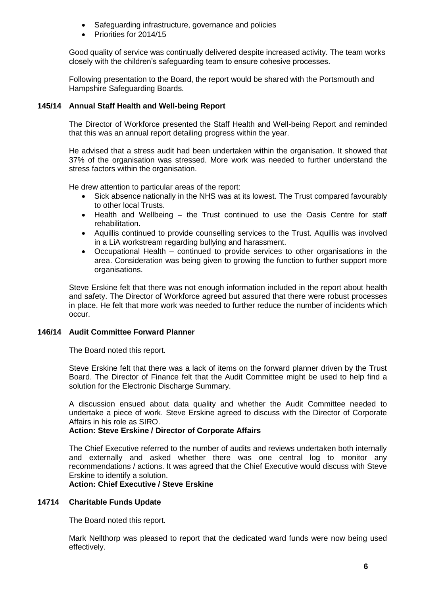- Safeguarding infrastructure, governance and policies
- Priorities for 2014/15

Good quality of service was continually delivered despite increased activity. The team works closely with the children's safeguarding team to ensure cohesive processes.

Following presentation to the Board, the report would be shared with the Portsmouth and Hampshire Safeguarding Boards.

# **145/14 Annual Staff Health and Well-being Report**

The Director of Workforce presented the Staff Health and Well-being Report and reminded that this was an annual report detailing progress within the year.

He advised that a stress audit had been undertaken within the organisation. It showed that 37% of the organisation was stressed. More work was needed to further understand the stress factors within the organisation.

He drew attention to particular areas of the report:

- Sick absence nationally in the NHS was at its lowest. The Trust compared favourably to other local Trusts.
- Health and Wellbeing the Trust continued to use the Oasis Centre for staff rehabilitation.
- Aquillis continued to provide counselling services to the Trust. Aquillis was involved in a LiA workstream regarding bullying and harassment.
- Occupational Health continued to provide services to other organisations in the area. Consideration was being given to growing the function to further support more organisations.

Steve Erskine felt that there was not enough information included in the report about health and safety. The Director of Workforce agreed but assured that there were robust processes in place. He felt that more work was needed to further reduce the number of incidents which occur.

# **146/14 Audit Committee Forward Planner**

The Board noted this report.

Steve Erskine felt that there was a lack of items on the forward planner driven by the Trust Board. The Director of Finance felt that the Audit Committee might be used to help find a solution for the Electronic Discharge Summary.

A discussion ensued about data quality and whether the Audit Committee needed to undertake a piece of work. Steve Erskine agreed to discuss with the Director of Corporate Affairs in his role as SIRO.

# **Action: Steve Erskine / Director of Corporate Affairs**

The Chief Executive referred to the number of audits and reviews undertaken both internally and externally and asked whether there was one central log to monitor any recommendations / actions. It was agreed that the Chief Executive would discuss with Steve Erskine to identify a solution.

**Action: Chief Executive / Steve Erskine**

# **14714 Charitable Funds Update**

The Board noted this report.

Mark Nellthorp was pleased to report that the dedicated ward funds were now being used effectively.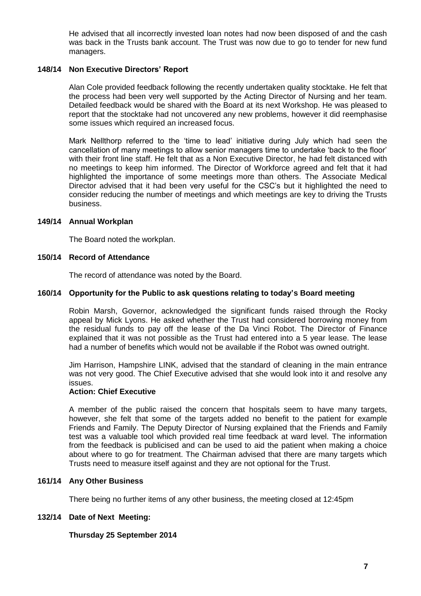He advised that all incorrectly invested loan notes had now been disposed of and the cash was back in the Trusts bank account. The Trust was now due to go to tender for new fund managers.

# **148/14 Non Executive Directors' Report**

Alan Cole provided feedback following the recently undertaken quality stocktake. He felt that the process had been very well supported by the Acting Director of Nursing and her team. Detailed feedback would be shared with the Board at its next Workshop. He was pleased to report that the stocktake had not uncovered any new problems, however it did reemphasise some issues which required an increased focus.

Mark Nellthorp referred to the 'time to lead' initiative during July which had seen the cancellation of many meetings to allow senior managers time to undertake 'back to the floor' with their front line staff. He felt that as a Non Executive Director, he had felt distanced with no meetings to keep him informed. The Director of Workforce agreed and felt that it had highlighted the importance of some meetings more than others. The Associate Medical Director advised that it had been very useful for the CSC's but it highlighted the need to consider reducing the number of meetings and which meetings are key to driving the Trusts business.

### **149/14 Annual Workplan**

The Board noted the workplan.

### **150/14 Record of Attendance**

The record of attendance was noted by the Board.

### **160/14 Opportunity for the Public to ask questions relating to today's Board meeting**

Robin Marsh, Governor, acknowledged the significant funds raised through the Rocky appeal by Mick Lyons. He asked whether the Trust had considered borrowing money from the residual funds to pay off the lease of the Da Vinci Robot. The Director of Finance explained that it was not possible as the Trust had entered into a 5 year lease. The lease had a number of benefits which would not be available if the Robot was owned outright.

Jim Harrison, Hampshire LINK, advised that the standard of cleaning in the main entrance was not very good. The Chief Executive advised that she would look into it and resolve any issues.

# **Action: Chief Executive**

A member of the public raised the concern that hospitals seem to have many targets, however, she felt that some of the targets added no benefit to the patient for example Friends and Family. The Deputy Director of Nursing explained that the Friends and Family test was a valuable tool which provided real time feedback at ward level. The information from the feedback is publicised and can be used to aid the patient when making a choice about where to go for treatment. The Chairman advised that there are many targets which Trusts need to measure itself against and they are not optional for the Trust.

### **161/14 Any Other Business**

There being no further items of any other business, the meeting closed at 12:45pm

# **132/14 Date of Next Meeting:**

# **Thursday 25 September 2014**